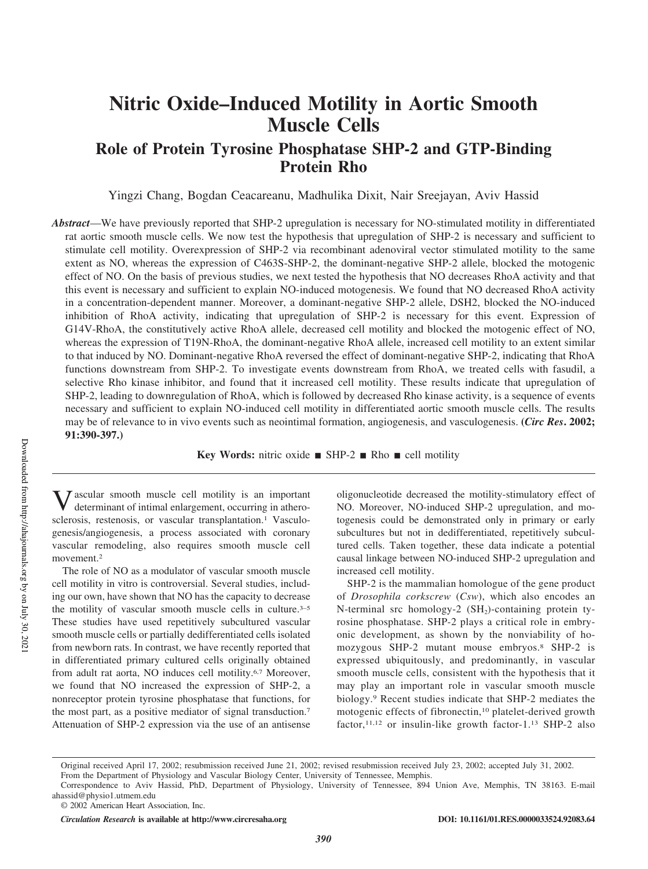# **Nitric Oxide–Induced Motility in Aortic Smooth Muscle Cells**

**Role of Protein Tyrosine Phosphatase SHP-2 and GTP-Binding Protein Rho**

Yingzi Chang, Bogdan Ceacareanu, Madhulika Dixit, Nair Sreejayan, Aviv Hassid

*Abstract*—We have previously reported that SHP-2 upregulation is necessary for NO-stimulated motility in differentiated rat aortic smooth muscle cells. We now test the hypothesis that upregulation of SHP-2 is necessary and sufficient to stimulate cell motility. Overexpression of SHP-2 via recombinant adenoviral vector stimulated motility to the same extent as NO, whereas the expression of C463S-SHP-2, the dominant-negative SHP-2 allele, blocked the motogenic effect of NO. On the basis of previous studies, we next tested the hypothesis that NO decreases RhoA activity and that this event is necessary and sufficient to explain NO-induced motogenesis. We found that NO decreased RhoA activity in a concentration-dependent manner. Moreover, a dominant-negative SHP-2 allele, DSH2, blocked the NO-induced inhibition of RhoA activity, indicating that upregulation of SHP-2 is necessary for this event. Expression of G14V-RhoA, the constitutively active RhoA allele, decreased cell motility and blocked the motogenic effect of NO, whereas the expression of T19N-RhoA, the dominant-negative RhoA allele, increased cell motility to an extent similar to that induced by NO. Dominant-negative RhoA reversed the effect of dominant-negative SHP-2, indicating that RhoA functions downstream from SHP-2. To investigate events downstream from RhoA, we treated cells with fasudil, a selective Rho kinase inhibitor, and found that it increased cell motility. These results indicate that upregulation of SHP-2, leading to downregulation of RhoA, which is followed by decreased Rho kinase activity, is a sequence of events necessary and sufficient to explain NO-induced cell motility in differentiated aortic smooth muscle cells. The results may be of relevance to in vivo events such as neointimal formation, angiogenesis, and vasculogenesis. **(***Circ Res***. 2002; 91:390-397.)**

**Key Words:** nitric oxide  $\blacksquare$  SHP-2  $\blacksquare$  Rho  $\blacksquare$  cell motility

V ascular smooth muscle cell motility is an important determinant of intimal enlargement, occurring in atherosclerosis, restenosis, or vascular transplantation.<sup>1</sup> Vasculogenesis/angiogenesis, a process associated with coronary vascular remodeling, also requires smooth muscle cell movement.<sup>2</sup>

The role of NO as a modulator of vascular smooth muscle cell motility in vitro is controversial. Several studies, including our own, have shown that NO has the capacity to decrease the motility of vascular smooth muscle cells in culture.<sup>3-5</sup> These studies have used repetitively subcultured vascular smooth muscle cells or partially dedifferentiated cells isolated from newborn rats. In contrast, we have recently reported that in differentiated primary cultured cells originally obtained from adult rat aorta, NO induces cell motility.6,7 Moreover, we found that NO increased the expression of SHP-2, a nonreceptor protein tyrosine phosphatase that functions, for the most part, as a positive mediator of signal transduction.<sup>7</sup> Attenuation of SHP-2 expression via the use of an antisense

oligonucleotide decreased the motility-stimulatory effect of NO. Moreover, NO-induced SHP-2 upregulation, and motogenesis could be demonstrated only in primary or early subcultures but not in dedifferentiated, repetitively subcultured cells. Taken together, these data indicate a potential causal linkage between NO-induced SHP-2 upregulation and increased cell motility.

SHP-2 is the mammalian homologue of the gene product of *Drosophila corkscrew* (*Csw*), which also encodes an N-terminal src homology-2  $(SH<sub>2</sub>)$ -containing protein tyrosine phosphatase. SHP-2 plays a critical role in embryonic development, as shown by the nonviability of homozygous SHP-2 mutant mouse embryos.<sup>8</sup> SHP-2 is expressed ubiquitously, and predominantly, in vascular smooth muscle cells, consistent with the hypothesis that it may play an important role in vascular smooth muscle biology.<sup>9</sup> Recent studies indicate that SHP-2 mediates the motogenic effects of fibronectin,<sup>10</sup> platelet-derived growth factor, $11,12$  or insulin-like growth factor-1.<sup>13</sup> SHP-2 also

Original received April 17, 2002; resubmission received June 21, 2002; revised resubmission received July 23, 2002; accepted July 31, 2002. From the Department of Physiology and Vascular Biology Center, University of Tennessee, Memphis.

Correspondence to Aviv Hassid, PhD, Department of Physiology, University of Tennessee, 894 Union Ave, Memphis, TN 38163. E-mail ahassid@physio1.utmem.edu

<sup>© 2002</sup> American Heart Association, Inc.

*Circulation Research* **is available at http://www.circresaha.org DOI: 10.1161/01.RES.0000033524.92083.64**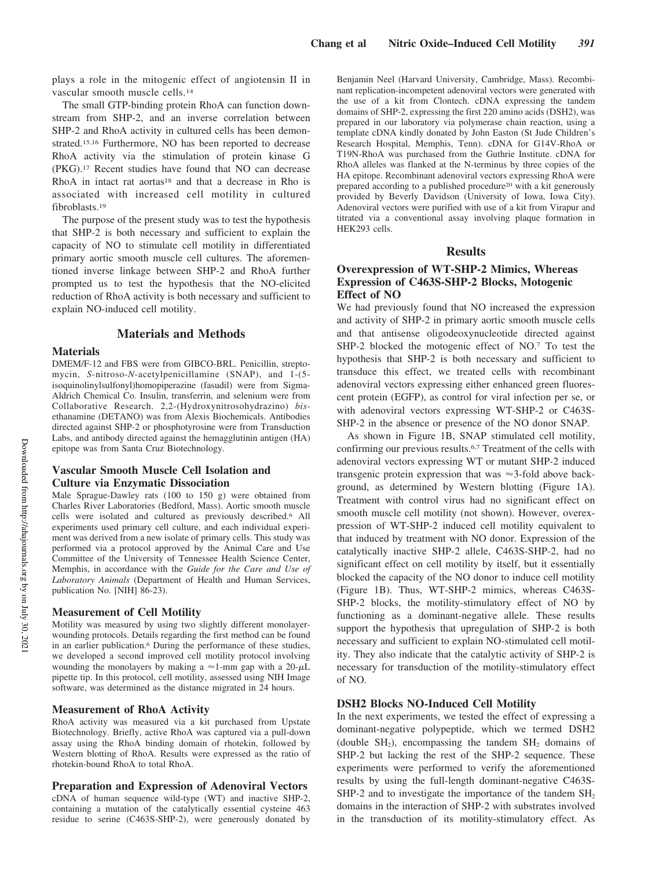plays a role in the mitogenic effect of angiotensin II in vascular smooth muscle cells.<sup>14</sup>

The small GTP-binding protein RhoA can function downstream from SHP-2, and an inverse correlation between SHP-2 and RhoA activity in cultured cells has been demonstrated.15,16 Furthermore, NO has been reported to decrease RhoA activity via the stimulation of protein kinase G (PKG).<sup>17</sup> Recent studies have found that NO can decrease RhoA in intact rat aortas<sup>18</sup> and that a decrease in Rho is associated with increased cell motility in cultured fibroblasts.<sup>19</sup>

The purpose of the present study was to test the hypothesis that SHP-2 is both necessary and sufficient to explain the capacity of NO to stimulate cell motility in differentiated primary aortic smooth muscle cell cultures. The aforementioned inverse linkage between SHP-2 and RhoA further prompted us to test the hypothesis that the NO-elicited reduction of RhoA activity is both necessary and sufficient to explain NO-induced cell motility.

# **Materials and Methods**

## **Materials**

DMEM/F-12 and FBS were from GIBCO-BRL. Penicillin, streptomycin, *S*-nitroso-*N*-acetylpenicillamine (SNAP), and 1-(5 isoquinolinylsulfonyl)homopiperazine (fasudil) were from Sigma-Aldrich Chemical Co. Insulin, transferrin, and selenium were from Collaborative Research. 2,2-(Hydroxynitrosohydrazino) *bis*ethanamine (DETANO) was from Alexis Biochemicals. Antibodies directed against SHP-2 or phosphotyrosine were from Transduction Labs, and antibody directed against the hemagglutinin antigen (HA) epitope was from Santa Cruz Biotechnology.

# **Vascular Smooth Muscle Cell Isolation and Culture via Enzymatic Dissociation**

Male Sprague-Dawley rats (100 to 150 g) were obtained from Charles River Laboratories (Bedford, Mass). Aortic smooth muscle cells were isolated and cultured as previously described.<sup>6</sup> All experiments used primary cell culture, and each individual experiment was derived from a new isolate of primary cells. This study was performed via a protocol approved by the Animal Care and Use Committee of the University of Tennessee Health Science Center, Memphis, in accordance with the *Guide for the Care and Use of Laboratory Animals* (Department of Health and Human Services, publication No. [NIH] 86-23).

# **Measurement of Cell Motility**

Motility was measured by using two slightly different monolayerwounding protocols. Details regarding the first method can be found in an earlier publication.<sup>6</sup> During the performance of these studies, we developed a second improved cell motility protocol involving wounding the monolayers by making a  $\approx$  1-mm gap with a 20- $\mu$ L pipette tip. In this protocol, cell motility, assessed using NIH Image software, was determined as the distance migrated in 24 hours.

#### **Measurement of RhoA Activity**

RhoA activity was measured via a kit purchased from Upstate Biotechnology. Briefly, active RhoA was captured via a pull-down assay using the RhoA binding domain of rhotekin, followed by Western blotting of RhoA. Results were expressed as the ratio of rhotekin-bound RhoA to total RhoA.

## **Preparation and Expression of Adenoviral Vectors**

cDNA of human sequence wild-type (WT) and inactive SHP-2, containing a mutation of the catalytically essential cysteine 463 residue to serine (C463S-SHP-2), were generously donated by Benjamin Neel (Harvard University, Cambridge, Mass). Recombinant replication-incompetent adenoviral vectors were generated with the use of a kit from Clontech. cDNA expressing the tandem domains of SHP-2, expressing the first 220 amino acids (DSH2), was prepared in our laboratory via polymerase chain reaction, using a template cDNA kindly donated by John Easton (St Jude Children's Research Hospital, Memphis, Tenn). cDNA for G14V-RhoA or T19N-RhoA was purchased from the Guthrie Institute. cDNA for RhoA alleles was flanked at the N-terminus by three copies of the HA epitope. Recombinant adenoviral vectors expressing RhoA were prepared according to a published procedure<sup>20</sup> with a kit generously provided by Beverly Davidson (University of Iowa, Iowa City). Adenoviral vectors were purified with use of a kit from Virapur and titrated via a conventional assay involving plaque formation in HEK293 cells.

#### **Results**

## **Overexpression of WT-SHP-2 Mimics, Whereas Expression of C463S-SHP-2 Blocks, Motogenic Effect of NO**

We had previously found that NO increased the expression and activity of SHP-2 in primary aortic smooth muscle cells and that antisense oligodeoxynucleotide directed against SHP-2 blocked the motogenic effect of NO.7 To test the hypothesis that SHP-2 is both necessary and sufficient to transduce this effect, we treated cells with recombinant adenoviral vectors expressing either enhanced green fluorescent protein (EGFP), as control for viral infection per se, or with adenoviral vectors expressing WT-SHP-2 or C463S-SHP-2 in the absence or presence of the NO donor SNAP.

As shown in Figure 1B, SNAP stimulated cell motility, confirming our previous results.6,7 Treatment of the cells with adenoviral vectors expressing WT or mutant SHP-2 induced transgenic protein expression that was  $\approx$  3-fold above background, as determined by Western blotting (Figure 1A). Treatment with control virus had no significant effect on smooth muscle cell motility (not shown). However, overexpression of WT-SHP-2 induced cell motility equivalent to that induced by treatment with NO donor. Expression of the catalytically inactive SHP-2 allele, C463S-SHP-2, had no significant effect on cell motility by itself, but it essentially blocked the capacity of the NO donor to induce cell motility (Figure 1B). Thus, WT-SHP-2 mimics, whereas C463S-SHP-2 blocks, the motility-stimulatory effect of NO by functioning as a dominant-negative allele. These results support the hypothesis that upregulation of SHP-2 is both necessary and sufficient to explain NO-stimulated cell motility. They also indicate that the catalytic activity of SHP-2 is necessary for transduction of the motility-stimulatory effect of NO.

#### **DSH2 Blocks NO-Induced Cell Motility**

In the next experiments, we tested the effect of expressing a dominant-negative polypeptide, which we termed DSH2 (double  $SH<sub>2</sub>$ ), encompassing the tandem  $SH<sub>2</sub>$  domains of SHP-2 but lacking the rest of the SHP-2 sequence. These experiments were performed to verify the aforementioned results by using the full-length dominant-negative C463S- $SHP-2$  and to investigate the importance of the tandem  $SH<sub>2</sub>$ domains in the interaction of SHP-2 with substrates involved in the transduction of its motility-stimulatory effect. As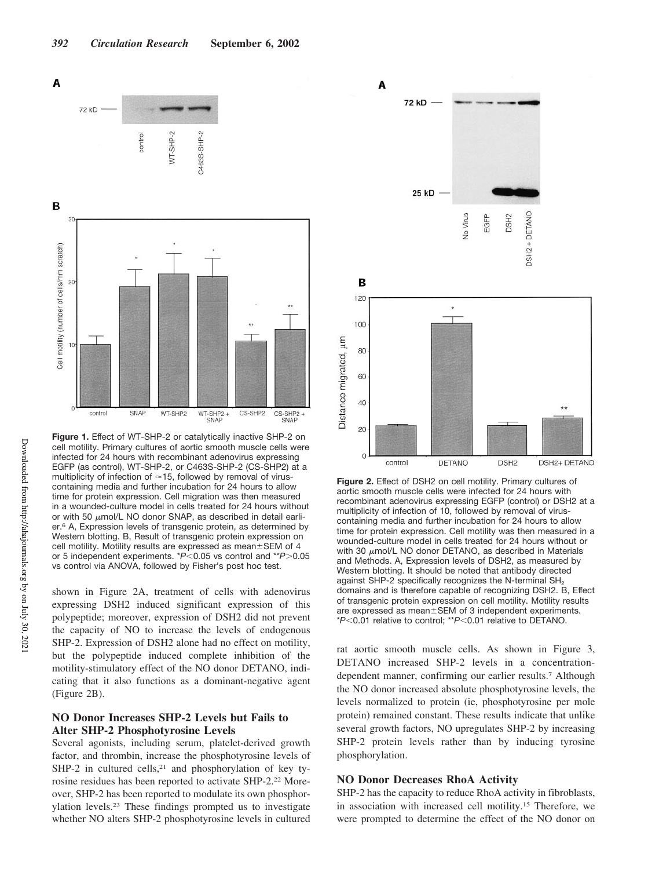

**Figure 1.** Effect of WT-SHP-2 or catalytically inactive SHP-2 on cell motility. Primary cultures of aortic smooth muscle cells were infected for 24 hours with recombinant adenovirus expressing EGFP (as control), WT-SHP-2, or C463S-SHP-2 (CS-SHP2) at a multiplicity of infection of  $\approx$  15, followed by removal of viruscontaining media and further incubation for 24 hours to allow time for protein expression. Cell migration was then measured in a wounded-culture model in cells treated for 24 hours without or with 50  $\mu$ mol/L NO donor SNAP, as described in detail earlier.<sup>6</sup> A, Expression levels of transgenic protein, as determined by Western blotting. B, Result of transgenic protein expression on cell motility. Motility results are expressed as mean $\pm$ SEM of 4 or 5 independent experiments. \**P*<0.05 vs control and \*\**P*>0.05 vs control via ANOVA, followed by Fisher's post hoc test.

shown in Figure 2A, treatment of cells with adenovirus expressing DSH2 induced significant expression of this polypeptide; moreover, expression of DSH2 did not prevent the capacity of NO to increase the levels of endogenous SHP-2. Expression of DSH2 alone had no effect on motility, but the polypeptide induced complete inhibition of the motility-stimulatory effect of the NO donor DETANO, indicating that it also functions as a dominant-negative agent (Figure 2B).

# **NO Donor Increases SHP-2 Levels but Fails to Alter SHP-2 Phosphotyrosine Levels**

Several agonists, including serum, platelet-derived growth factor, and thrombin, increase the phosphotyrosine levels of SHP-2 in cultured cells, $2<sup>1</sup>$  and phosphorylation of key tyrosine residues has been reported to activate SHP-2.<sup>22</sup> Moreover, SHP-2 has been reported to modulate its own phosphorylation levels.<sup>23</sup> These findings prompted us to investigate whether NO alters SHP-2 phosphotyrosine levels in cultured



**Figure 2.** Effect of DSH2 on cell motility. Primary cultures of aortic smooth muscle cells were infected for 24 hours with recombinant adenovirus expressing EGFP (control) or DSH2 at a multiplicity of infection of 10, followed by removal of viruscontaining media and further incubation for 24 hours to allow time for protein expression. Cell motility was then measured in a wounded-culture model in cells treated for 24 hours without or with 30  $\mu$ mol/L NO donor DETANO, as described in Materials and Methods. A, Expression levels of DSH2, as measured by Western blotting. It should be noted that antibody directed against SHP-2 specifically recognizes the N-terminal  $SH<sub>2</sub>$ domains and is therefore capable of recognizing DSH2. B, Effect of transgenic protein expression on cell motility. Motility results are expressed as mean±SEM of 3 independent experiments. \**P*0.01 relative to control; \*\**P*0.01 relative to DETANO.

rat aortic smooth muscle cells. As shown in Figure 3, DETANO increased SHP-2 levels in a concentrationdependent manner, confirming our earlier results.<sup>7</sup> Although the NO donor increased absolute phosphotyrosine levels, the levels normalized to protein (ie, phosphotyrosine per mole protein) remained constant. These results indicate that unlike several growth factors, NO upregulates SHP-2 by increasing SHP-2 protein levels rather than by inducing tyrosine phosphorylation.

### **NO Donor Decreases RhoA Activity**

SHP-2 has the capacity to reduce RhoA activity in fibroblasts, in association with increased cell motility.<sup>15</sup> Therefore, we were prompted to determine the effect of the NO donor on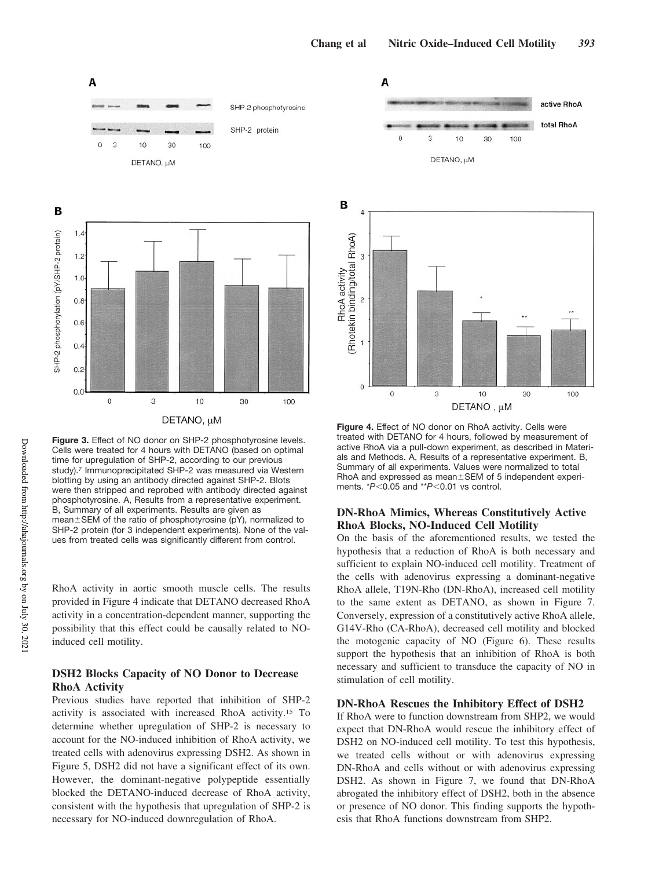

**Figure 3.** Effect of NO donor on SHP-2 phosphotyrosine levels. Cells were treated for 4 hours with DETANO (based on optimal time for upregulation of SHP-2, according to our previous study).<sup>7</sup> Immunoprecipitated SHP-2 was measured via Western blotting by using an antibody directed against SHP-2. Blots were then stripped and reprobed with antibody directed against phosphotyrosine. A, Results from a representative experiment. B, Summary of all experiments. Results are given as mean ± SEM of the ratio of phosphotyrosine (pY), normalized to SHP-2 protein (for 3 independent experiments). None of the values from treated cells was significantly different from control.

RhoA activity in aortic smooth muscle cells. The results provided in Figure 4 indicate that DETANO decreased RhoA activity in a concentration-dependent manner, supporting the possibility that this effect could be causally related to NOinduced cell motility.

# **DSH2 Blocks Capacity of NO Donor to Decrease RhoA Activity**

Previous studies have reported that inhibition of SHP-2 activity is associated with increased RhoA activity.<sup>15</sup> To determine whether upregulation of SHP-2 is necessary to account for the NO-induced inhibition of RhoA activity, we treated cells with adenovirus expressing DSH2. As shown in Figure 5, DSH2 did not have a significant effect of its own. However, the dominant-negative polypeptide essentially blocked the DETANO-induced decrease of RhoA activity, consistent with the hypothesis that upregulation of SHP-2 is necessary for NO-induced downregulation of RhoA.





treated with DETANO for 4 hours, followed by measurement of active RhoA via a pull-down experiment, as described in Materials and Methods. A, Results of a representative experiment. B, Summary of all experiments. Values were normalized to total RhoA and expressed as mean±SEM of 5 independent experiments.  $*P<0.05$  and  $*P<0.01$  vs control.

# **DN-RhoA Mimics, Whereas Constitutively Active RhoA Blocks, NO-Induced Cell Motility**

On the basis of the aforementioned results, we tested the hypothesis that a reduction of RhoA is both necessary and sufficient to explain NO-induced cell motility. Treatment of the cells with adenovirus expressing a dominant-negative RhoA allele, T19N-Rho (DN-RhoA), increased cell motility to the same extent as DETANO, as shown in Figure 7. Conversely, expression of a constitutively active RhoA allele, G14V-Rho (CA-RhoA), decreased cell motility and blocked the motogenic capacity of NO (Figure 6). These results support the hypothesis that an inhibition of RhoA is both necessary and sufficient to transduce the capacity of NO in stimulation of cell motility.

## **DN-RhoA Rescues the Inhibitory Effect of DSH2**

If RhoA were to function downstream from SHP2, we would expect that DN-RhoA would rescue the inhibitory effect of DSH2 on NO-induced cell motility. To test this hypothesis, we treated cells without or with adenovirus expressing DN-RhoA and cells without or with adenovirus expressing DSH2. As shown in Figure 7, we found that DN-RhoA abrogated the inhibitory effect of DSH2, both in the absence or presence of NO donor. This finding supports the hypothesis that RhoA functions downstream from SHP2.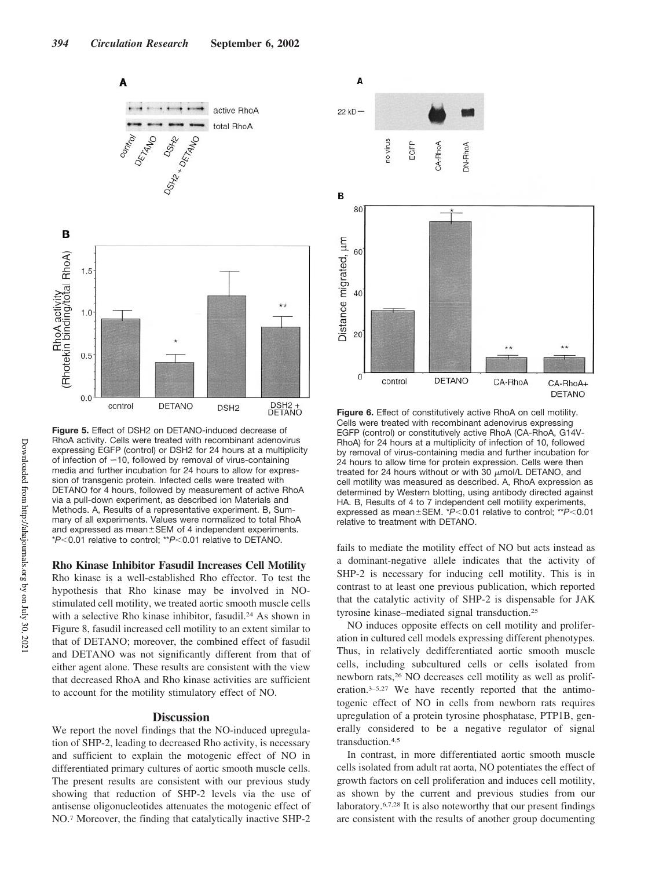

**Figure 5.** Effect of DSH2 on DETANO-induced decrease of RhoA activity. Cells were treated with recombinant adenovirus expressing EGFP (control) or DSH2 for 24 hours at a multiplicity of infection of  $\approx$  10, followed by removal of virus-containing media and further incubation for 24 hours to allow for expression of transgenic protein. Infected cells were treated with DETANO for 4 hours, followed by measurement of active RhoA via a pull-down experiment, as described ion Materials and Methods. A, Results of a representative experiment. B, Summary of all experiments. Values were normalized to total RhoA and expressed as mean ± SEM of 4 independent experiments. \* $P$ <0.01 relative to control; \*\* $P$ <0.01 relative to DETANO.

#### **Rho Kinase Inhibitor Fasudil Increases Cell Motility**

Rho kinase is a well-established Rho effector. To test the hypothesis that Rho kinase may be involved in NOstimulated cell motility, we treated aortic smooth muscle cells with a selective Rho kinase inhibitor, fasudil.<sup>24</sup> As shown in Figure 8, fasudil increased cell motility to an extent similar to that of DETANO; moreover, the combined effect of fasudil and DETANO was not significantly different from that of either agent alone. These results are consistent with the view that decreased RhoA and Rho kinase activities are sufficient to account for the motility stimulatory effect of NO.

#### **Discussion**

We report the novel findings that the NO-induced upregulation of SHP-2, leading to decreased Rho activity, is necessary and sufficient to explain the motogenic effect of NO in differentiated primary cultures of aortic smooth muscle cells. The present results are consistent with our previous study showing that reduction of SHP-2 levels via the use of antisense oligonucleotides attenuates the motogenic effect of NO.<sup>7</sup> Moreover, the finding that catalytically inactive SHP-2



**Figure 6.** Effect of constitutively active RhoA on cell motility. Cells were treated with recombinant adenovirus expressing EGFP (control) or constitutively active RhoA (CA-RhoA, G14V-RhoA) for 24 hours at a multiplicity of infection of 10, followed by removal of virus-containing media and further incubation for 24 hours to allow time for protein expression. Cells were then treated for 24 hours without or with 30  $\mu$ mol/L DETANO, and cell motility was measured as described. A, RhoA expression as determined by Western blotting, using antibody directed against HA. B, Results of 4 to 7 independent cell motility experiments, expressed as mean ± SEM. \**P*<0.01 relative to control; \*\**P*<0.01 relative to treatment with DETANO.

fails to mediate the motility effect of NO but acts instead as a dominant-negative allele indicates that the activity of SHP-2 is necessary for inducing cell motility. This is in contrast to at least one previous publication, which reported that the catalytic activity of SHP-2 is dispensable for JAK tyrosine kinase–mediated signal transduction.<sup>25</sup>

NO induces opposite effects on cell motility and proliferation in cultured cell models expressing different phenotypes. Thus, in relatively dedifferentiated aortic smooth muscle cells, including subcultured cells or cells isolated from newborn rats,<sup>26</sup> NO decreases cell motility as well as proliferation.3–5,27 We have recently reported that the antimotogenic effect of NO in cells from newborn rats requires upregulation of a protein tyrosine phosphatase, PTP1B, generally considered to be a negative regulator of signal transduction.4,5

In contrast, in more differentiated aortic smooth muscle cells isolated from adult rat aorta, NO potentiates the effect of growth factors on cell proliferation and induces cell motility, as shown by the current and previous studies from our laboratory.6,7,28 It is also noteworthy that our present findings are consistent with the results of another group documenting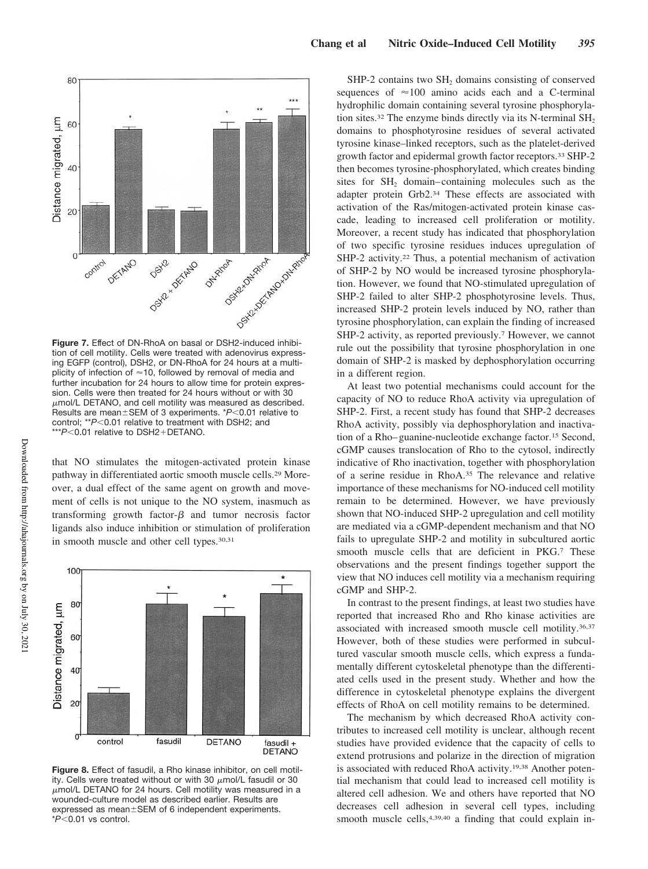

**Figure 7.** Effect of DN-RhoA on basal or DSH2-induced inhibition of cell motility. Cells were treated with adenovirus expressing EGFP (control), DSH2, or DN-RhoA for 24 hours at a multiplicity of infection of  $\approx$  10, followed by removal of media and further incubation for 24 hours to allow time for protein expression. Cells were then treated for 24 hours without or with 30  $\mu$ mol/L DETANO, and cell motility was measured as described. Results are mean±SEM of 3 experiments. \*P<0.01 relative to control; \*\* $P$ <0.01 relative to treatment with DSH2; and \*\*\**P*<0.01 relative to DSH2+DETANO.

that NO stimulates the mitogen-activated protein kinase pathway in differentiated aortic smooth muscle cells.<sup>29</sup> Moreover, a dual effect of the same agent on growth and movement of cells is not unique to the NO system, inasmuch as transforming growth factor- $\beta$  and tumor necrosis factor ligands also induce inhibition or stimulation of proliferation in smooth muscle and other cell types.30,31



**Figure 8.** Effect of fasudil, a Rho kinase inhibitor, on cell motility. Cells were treated without or with 30  $\mu$ mol/L fasudil or 30  $\mu$ mol/L DETANO for 24 hours. Cell motility was measured in a wounded-culture model as described earlier. Results are expressed as mean±SEM of 6 independent experiments. \* $P$ <0.01 vs control.

SHP-2 contains two SH<sub>2</sub> domains consisting of conserved sequences of  $\approx$ 100 amino acids each and a C-terminal hydrophilic domain containing several tyrosine phosphorylation sites.<sup>32</sup> The enzyme binds directly via its N-terminal  $SH<sub>2</sub>$ domains to phosphotyrosine residues of several activated tyrosine kinase–linked receptors, such as the platelet-derived growth factor and epidermal growth factor receptors.<sup>33</sup> SHP-2 then becomes tyrosine-phosphorylated, which creates binding sites for SH<sub>2</sub> domain–containing molecules such as the adapter protein Grb2.<sup>34</sup> These effects are associated with activation of the Ras/mitogen-activated protein kinase cascade, leading to increased cell proliferation or motility. Moreover, a recent study has indicated that phosphorylation of two specific tyrosine residues induces upregulation of SHP-2 activity.<sup>22</sup> Thus, a potential mechanism of activation of SHP-2 by NO would be increased tyrosine phosphorylation. However, we found that NO-stimulated upregulation of SHP-2 failed to alter SHP-2 phosphotyrosine levels. Thus, increased SHP-2 protein levels induced by NO, rather than tyrosine phosphorylation, can explain the finding of increased SHP-2 activity, as reported previously.<sup>7</sup> However, we cannot rule out the possibility that tyrosine phosphorylation in one domain of SHP-2 is masked by dephosphorylation occurring in a different region.

At least two potential mechanisms could account for the capacity of NO to reduce RhoA activity via upregulation of SHP-2. First, a recent study has found that SHP-2 decreases RhoA activity, possibly via dephosphorylation and inactivation of a Rho–guanine-nucleotide exchange factor.<sup>15</sup> Second, cGMP causes translocation of Rho to the cytosol, indirectly indicative of Rho inactivation, together with phosphorylation of a serine residue in RhoA.<sup>35</sup> The relevance and relative importance of these mechanisms for NO-induced cell motility remain to be determined. However, we have previously shown that NO-induced SHP-2 upregulation and cell motility are mediated via a cGMP-dependent mechanism and that NO fails to upregulate SHP-2 and motility in subcultured aortic smooth muscle cells that are deficient in PKG.<sup>7</sup> These observations and the present findings together support the view that NO induces cell motility via a mechanism requiring cGMP and SHP-2.

In contrast to the present findings, at least two studies have reported that increased Rho and Rho kinase activities are associated with increased smooth muscle cell motility.36,37 However, both of these studies were performed in subcultured vascular smooth muscle cells, which express a fundamentally different cytoskeletal phenotype than the differentiated cells used in the present study. Whether and how the difference in cytoskeletal phenotype explains the divergent effects of RhoA on cell motility remains to be determined.

The mechanism by which decreased RhoA activity contributes to increased cell motility is unclear, although recent studies have provided evidence that the capacity of cells to extend protrusions and polarize in the direction of migration is associated with reduced RhoA activity.<sup>19,38</sup> Another potential mechanism that could lead to increased cell motility is altered cell adhesion. We and others have reported that NO decreases cell adhesion in several cell types, including smooth muscle cells, 4,39,40 a finding that could explain in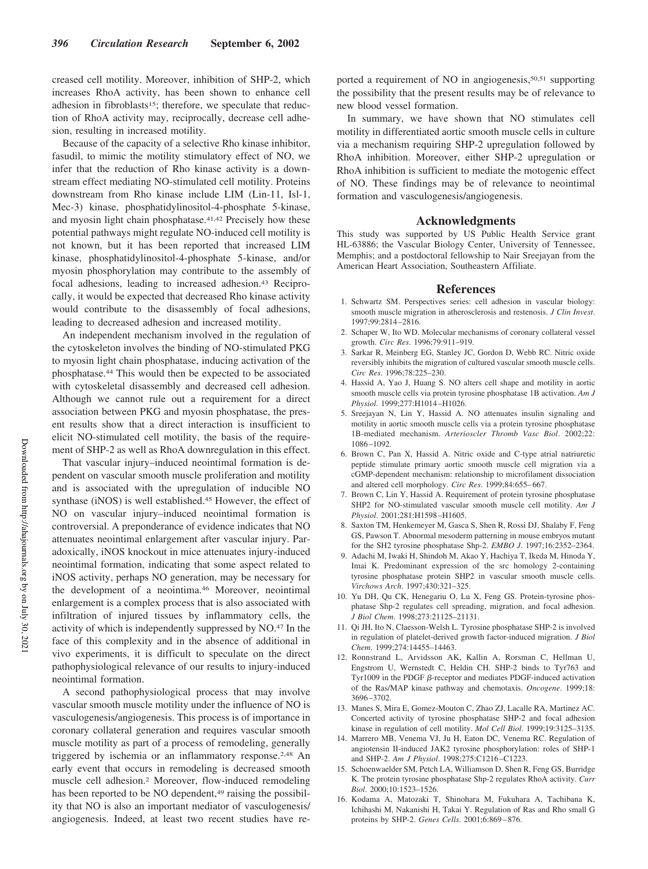creased cell motility. Moreover, inhibition of SHP-2, which increases RhoA activity, has been shown to enhance cell adhesion in fibroblasts<sup>15</sup>; therefore, we speculate that reduction of RhoA activity may, reciprocally, decrease cell adhesion, resulting in increased motility.

Because of the capacity of a selective Rho kinase inhibitor, fasudil, to mimic the motility stimulatory effect of NO, we infer that the reduction of Rho kinase activity is a downstream effect mediating NO-stimulated cell motility. Proteins downstream from Rho kinase include LIM (Lin-11, Isl-1, Mec-3) kinase, phosphatidylinositol-4-phosphate 5-kinase, and myosin light chain phosphatase.<sup>41,42</sup> Precisely how these potential pathways might regulate NO-induced cell motility is not known, but it has been reported that increased LIM kinase, phosphatidylinositol-4-phosphate 5-kinase, and/or myosin phosphorylation may contribute to the assembly of focal adhesions, leading to increased adhesion.<sup>43</sup> Reciprocally, it would be expected that decreased Rho kinase activity would contribute to the disassembly of focal adhesions, leading to decreased adhesion and increased motility.

An independent mechanism involved in the regulation of the cytoskeleton involves the binding of NO-stimulated PKG to myosin light chain phosphatase, inducing activation of the phosphatase.<sup>44</sup> This would then be expected to be associated with cytoskeletal disassembly and decreased cell adhesion. Although we cannot rule out a requirement for a direct association between PKG and myosin phosphatase, the present results show that a direct interaction is insufficient to elicit NO-stimulated cell motility, the basis of the requirement of SHP-2 as well as RhoA downregulation in this effect.

That vascular injury–induced neointimal formation is dependent on vascular smooth muscle proliferation and motility and is associated with the upregulation of inducible NO synthase (iNOS) is well established.<sup>45</sup> However, the effect of NO on vascular injury–induced neointimal formation is controversial. A preponderance of evidence indicates that NO attenuates neointimal enlargement after vascular injury. Paradoxically, iNOS knockout in mice attenuates injury-induced neointimal formation, indicating that some aspect related to iNOS activity, perhaps NO generation, may be necessary for the development of a neointima.<sup>46</sup> Moreover, neointimal enlargement is a complex process that is also associated with infiltration of injured tissues by inflammatory cells, the activity of which is independently suppressed by NO.<sup>47</sup> In the face of this complexity and in the absence of additional in vivo experiments, it is difficult to speculate on the direct pathophysiological relevance of our results to injury-induced neointimal formation.

A second pathophysiological process that may involve vascular smooth muscle motility under the influence of NO is vasculogenesis/angiogenesis. This process is of importance in coronary collateral generation and requires vascular smooth muscle motility as part of a process of remodeling, generally triggered by ischemia or an inflammatory response.2,48 An early event that occurs in remodeling is decreased smooth muscle cell adhesion.<sup>2</sup> Moreover, flow-induced remodeling has been reported to be NO dependent,<sup>49</sup> raising the possibility that NO is also an important mediator of vasculogenesis/ angiogenesis. Indeed, at least two recent studies have reported a requirement of NO in angiogenesis,<sup>50,51</sup> supporting the possibility that the present results may be of relevance to new blood vessel formation.

In summary, we have shown that NO stimulates cell motility in differentiated aortic smooth muscle cells in culture via a mechanism requiring SHP-2 upregulation followed by RhoA inhibition. Moreover, either SHP-2 upregulation or RhoA inhibition is sufficient to mediate the motogenic effect of NO. These findings may be of relevance to neointimal formation and vasculogenesis/angiogenesis.

## **Acknowledgments**

This study was supported by US Public Health Service grant HL-63886; the Vascular Biology Center, University of Tennessee, Memphis; and a postdoctoral fellowship to Nair Sreejayan from the American Heart Association, Southeastern Affiliate.

#### **References**

- 1. Schwartz SM. Perspectives series: cell adhesion in vascular biology: smooth muscle migration in atherosclerosis and restenosis. *J Clin Invest*. 1997;99:2814–2816.
- 2. Schaper W, Ito WD. Molecular mechanisms of coronary collateral vessel growth. *Circ Res*. 1996;79:911–919.
- 3. Sarkar R, Meinberg EG, Stanley JC, Gordon D, Webb RC. Nitric oxide reversibly inhibits the migration of cultured vascular smooth muscle cells. *Circ Res*. 1996;78:225–230.
- 4. Hassid A, Yao J, Huang S. NO alters cell shape and motility in aortic smooth muscle cells via protein tyrosine phosphatase 1B activation. *Am J Physiol*. 1999;277:H1014–H1026.
- 5. Sreejayan N, Lin Y, Hassid A. NO attenuates insulin signaling and motility in aortic smooth muscle cells via a protein tyrosine phosphatase 1B-mediated mechanism. *Arterioscler Thromb Vasc Biol*. 2002;22: 1086–1092.
- 6. Brown C, Pan X, Hassid A. Nitric oxide and C-type atrial natriuretic peptide stimulate primary aortic smooth muscle cell migration via a cGMP-dependent mechanism: relationship to microfilament dissociation and altered cell morphology. *Circ Res*. 1999;84:655–667.
- 7. Brown C, Lin Y, Hassid A. Requirement of protein tyrosine phosphatase SHP2 for NO-stimulated vascular smooth muscle cell motility. *Am J Physiol*. 2001;281:H1598–H1605.
- 8. Saxton TM, Henkemeyer M, Gasca S, Shen R, Rossi DJ, Shalaby F, Feng GS, Pawson T. Abnormal mesoderm patterning in mouse embryos mutant for the SH2 tyrosine phosphatase Shp-2. *EMBO J*. 1997;16:2352–2364.
- 9. Adachi M, Iwaki H, Shindoh M, Akao Y, Hachiya T, Ikeda M, Hinoda Y, Imai K. Predominant expression of the src homology 2-containing tyrosine phosphatase protein SHP2 in vascular smooth muscle cells. *Virchows Arch*. 1997;430:321–325.
- 10. Yu DH, Qu CK, Henegariu O, Lu X, Feng GS. Protein-tyrosine phosphatase Shp-2 regulates cell spreading, migration, and focal adhesion. *J Biol Chem*. 1998;273:21125–21131.
- 11. Qi JH, Ito N, Claesson-Welsh L. Tyrosine phosphatase SHP-2 is involved in regulation of platelet-derived growth factor-induced migration. *J Biol Chem*. 1999;274:14455–14463.
- 12. Ronnstrand L, Arvidsson AK, Kallin A, Rorsman C, Hellman U, Engstrom U, Wernstedt C, Heldin CH. SHP-2 binds to Tyr763 and Tyr1009 in the PDGF  $\beta$ -receptor and mediates PDGF-induced activation of the Ras/MAP kinase pathway and chemotaxis. *Oncogene*. 1999;18: 3696–3702.
- 13. Manes S, Mira E, Gomez-Mouton C, Zhao ZJ, Lacalle RA, Martinez AC. Concerted activity of tyrosine phosphatase SHP-2 and focal adhesion kinase in regulation of cell motility. *Mol Cell Biol*. 1999;19:3125–3135.
- 14. Marrero MB, Venema VJ, Ju H, Eaton DC, Venema RC. Regulation of angiotensin II-induced JAK2 tyrosine phosphorylation: roles of SHP-1 and SHP-2. *Am J Physiol*. 1998;275:C1216–C1223.
- 15. Schoenwaelder SM, Petch LA, Williamson D, Shen R, Feng GS, Burridge K. The protein tyrosine phosphatase Shp-2 regulates RhoA activity. *Curr Biol*. 2000;10:1523–1526.
- 16. Kodama A, Matozaki T, Shinohara M, Fukuhara A, Tachibana K, Ichihashi M, Nakanishi H, Takai Y. Regulation of Ras and Rho small G proteins by SHP-2. *Genes Cells*. 2001;6:869–876.